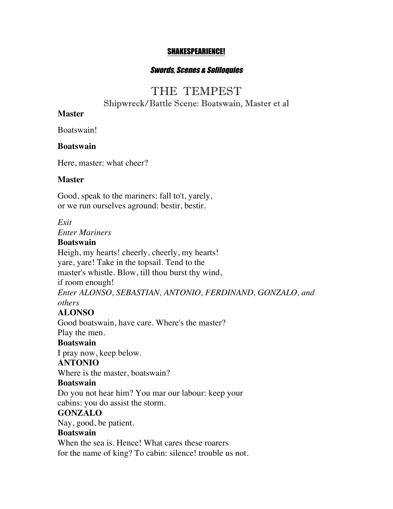#### SHAKESPEARIENCE!

### Swords, Scenes & Soliloquies

# THE TEMPEST

Shipwreck/Battle Scene: Boatswain, Master et al

### **Master**

Boatswain!

### **Boatswain**

Here, master: what cheer?

### **Master**

Good, speak to the mariners: fall to't, yarely, or we run ourselves aground: bestir, bestir.

*Exit*

*Enter Mariners*

### **Boatswain**

Heigh, my hearts! cheerly, cheerly, my hearts! yare, yare! Take in the topsail. Tend to the master's whistle. Blow, till thou burst thy wind, if room enough! *Enter ALONSO, SEBASTIAN, ANTONIO, FERDINAND, GONZALO, and others*

# **ALONSO**

Good boatswain, have care. Where's the master? Play the men.

# **Boatswain**

I pray now, keep below.

# **ANTONIO**

Where is the master, boatswain?

### **Boatswain**

Do you not hear him? You mar our labour: keep your cabins: you do assist the storm.

### **GONZALO**

Nay, good, be patient.

### **Boatswain**

When the sea is. Hence! What cares these roarers for the name of king? To cabin: silence! trouble us not.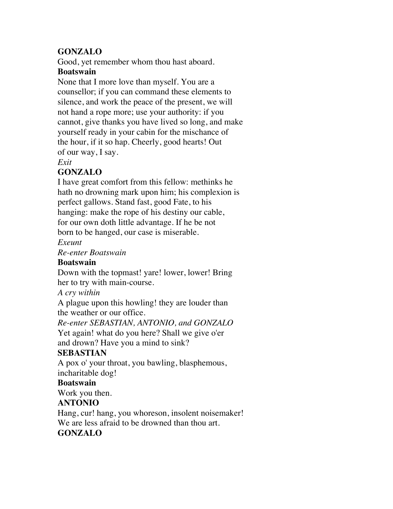# **GONZALO**

Good, yet remember whom thou hast aboard.

### **Boatswain**

None that I more love than myself. You are a counsellor; if you can command these elements to silence, and work the peace of the present, we will not hand a rope more; use your authority: if you cannot, give thanks you have lived so long, and make yourself ready in your cabin for the mischance of the hour, if it so hap. Cheerly, good hearts! Out of our way, I say.

### *Exit*

# **GONZALO**

I have great comfort from this fellow: methinks he hath no drowning mark upon him; his complexion is perfect gallows. Stand fast, good Fate, to his hanging: make the rope of his destiny our cable, for our own doth little advantage. If he be not born to be hanged, our case is miserable.

# *Exeunt*

*Re-enter Boatswain*

# **Boatswain**

Down with the topmast! yare! lower, lower! Bring her to try with main-course.

*A cry within*

A plague upon this howling! they are louder than the weather or our office.

*Re-enter SEBASTIAN, ANTONIO, and GONZALO*

Yet again! what do you here? Shall we give o'er and drown? Have you a mind to sink?

# **SEBASTIAN**

A pox o' your throat, you bawling, blasphemous, incharitable dog!

# **Boatswain**

Work you then.

# **ANTONIO**

Hang, cur! hang, you whoreson, insolent noisemaker! We are less afraid to be drowned than thou art. **GONZALO**